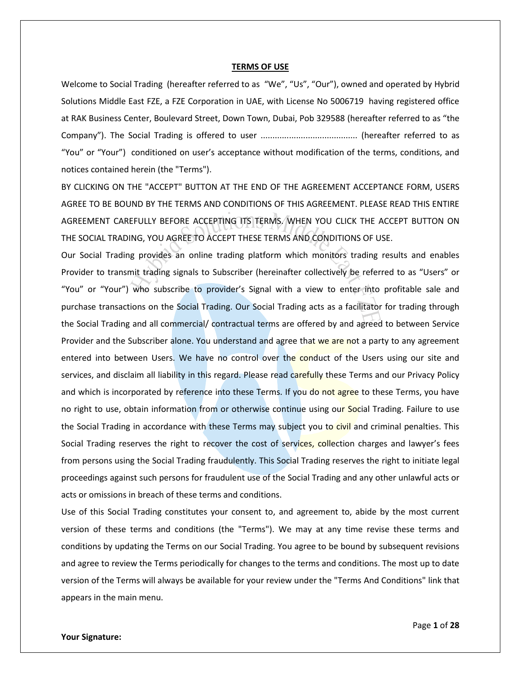#### **TERMS OF USE**

Welcome to Social Trading (hereafter referred to as "We", "Us", "Our"), owned and operated by Hybrid Solutions Middle East FZE, a FZE Corporation in UAE, with License No 5006719 having registered office at RAK Business Center, Boulevard Street, Down Town, Dubai, Pob 329588 (hereafter referred to as "the Company"). The Social Trading is offered to user ......................................... (hereafter referred to as "You" or "Your") conditioned on user's acceptance without modification of the terms, conditions, and notices contained herein (the "Terms").

BY CLICKING ON THE "ACCEPT" BUTTON AT THE END OF THE AGREEMENT ACCEPTANCE FORM, USERS AGREE TO BE BOUND BY THE TERMS AND CONDITIONS OF THIS AGREEMENT. PLEASE READ THIS ENTIRE AGREEMENT CAREFULLY BEFORE ACCEPTING ITS TERMS. WHEN YOU CLICK THE ACCEPT BUTTON ON THE SOCIAL TRADING, YOU AGREE TO ACCEPT THESE TERMS AND CONDITIONS OF USE.

Our Social Trading provides an online trading platform which monitors trading results and enables Provider to transmit trading signals to Subscriber (hereinafter collectively be referred to as "Users" or "You" or "Your") who subscribe to provider's Signal with a view to enter into profitable sale and purchase transactions on the Social Trading. Our Social Trading acts as a facilitator for trading through the Social Trading and all commercial/ contractual terms are offered by and agreed to between Service Provider and the Subscriber alone. You understand and agree that we are not a party to any agreement entered into between Users. We have no control over the conduct of the Users using our site and services, and disclaim all liability in this regard. Please read carefully these Terms and our Privacy Policy and which is incorporated by reference into these Terms. If you do not agree to these Terms, you have no right to use, obtain information from or otherwise continue using our Social Trading. Failure to use the Social Trading in accordance with these Terms may subject you to civil and criminal penalties. This Social Trading reserves the right to recover the cost of services, collection charges and lawyer's fees from persons using the Social Trading fraudulently. This Social Trading reserves the right to initiate legal proceedings against such persons for fraudulent use of the Social Trading and any other unlawful acts or acts or omissions in breach of these terms and conditions.

Use of this Social Trading constitutes your consent to, and agreement to, abide by the most current version of these terms and conditions (the "Terms"). We may at any time revise these terms and conditions by updating the Terms on our Social Trading. You agree to be bound by subsequent revisions and agree to review the Terms periodically for changes to the terms and conditions. The most up to date version of the Terms will always be available for your review under the "Terms And Conditions" link that appears in the main menu.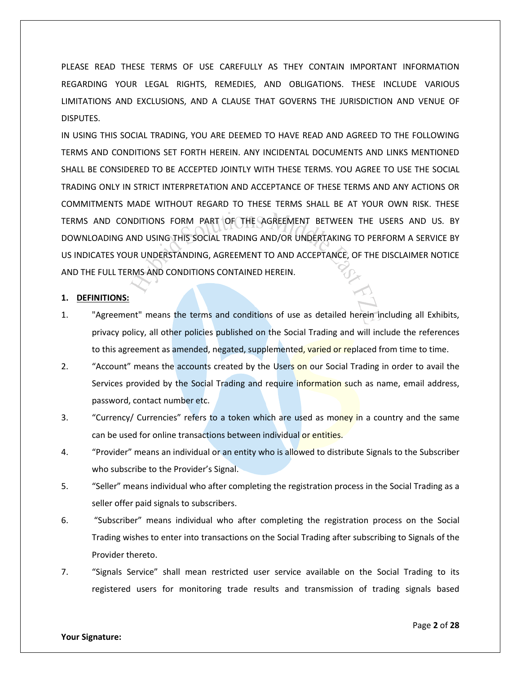PLEASE READ THESE TERMS OF USE CAREFULLY AS THEY CONTAIN IMPORTANT INFORMATION REGARDING YOUR LEGAL RIGHTS, REMEDIES, AND OBLIGATIONS. THESE INCLUDE VARIOUS LIMITATIONS AND EXCLUSIONS, AND A CLAUSE THAT GOVERNS THE JURISDICTION AND VENUE OF DISPUTES.

IN USING THIS SOCIAL TRADING, YOU ARE DEEMED TO HAVE READ AND AGREED TO THE FOLLOWING TERMS AND CONDITIONS SET FORTH HEREIN. ANY INCIDENTAL DOCUMENTS AND LINKS MENTIONED SHALL BE CONSIDERED TO BE ACCEPTED JOINTLY WITH THESE TERMS. YOU AGREE TO USE THE SOCIAL TRADING ONLY IN STRICT INTERPRETATION AND ACCEPTANCE OF THESE TERMS AND ANY ACTIONS OR COMMITMENTS MADE WITHOUT REGARD TO THESE TERMS SHALL BE AT YOUR OWN RISK. THESE TERMS AND CONDITIONS FORM PART OF THE AGREEMENT BETWEEN THE USERS AND US. BY DOWNLOADING AND USING THIS SOCIAL TRADING AND/OR UNDERTAKING TO PERFORM A SERVICE BY US INDICATES YOUR UNDERSTANDING, AGREEMENT TO AND ACCEPTANCE, OF THE DISCLAIMER NOTICE AND THE FULL TERMS AND CONDITIONS CONTAINED HEREIN.

# **1. DEFINITIONS:**

- 1. "Agreement" means the terms and conditions of use as detailed herein including all Exhibits, privacy policy, all other policies published on the Social Trading and will include the references to this agreement as amended, negated, supplemented, varied or replaced from time to time.
- 2. "Account" means the accounts created by the Users on our Social Trading in order to avail the Services provided by the Social Trading and require information such as name, email address, password, contact number etc.
- 3. "Currency/ Currencies" refers to a token which are used as money in a country and the same can be used for online transactions between individual or entities.
- 4. "Provider" means an individual or an entity who is allowed to distribute Signals to the Subscriber who subscribe to the Provider's Signal.
- 5. "Seller" means individual who after completing the registration process in the Social Trading as a seller offer paid signals to subscribers.
- 6. "Subscriber" means individual who after completing the registration process on the Social Trading wishes to enter into transactions on the Social Trading after subscribing to Signals of the Provider thereto.
- 7. "Signals Service" shall mean restricted user service available on the Social Trading to its registered users for monitoring trade results and transmission of trading signals based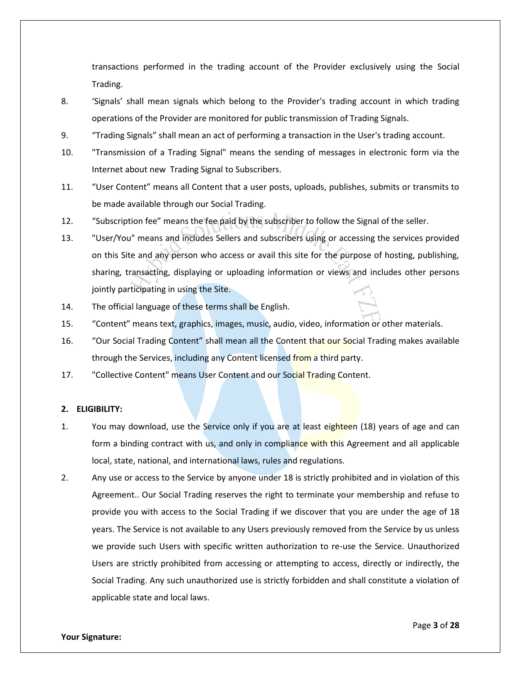transactions performed in the trading account of the Provider exclusively using the Social Trading.

- 8. 'Signals' shall mean signals which belong to the Provider's trading account in which trading operations of the Provider are monitored for public transmission of Trading Signals.
- 9. "Trading Signals" shall mean an act of performing a transaction in the User's trading account.
- 10. "Transmission of a Trading Signal" means the sending of messages in electronic form via the Internet about new Trading Signal to Subscribers.
- 11. "User Content" means all Content that a user posts, uploads, publishes, submits or transmits to be made available through our Social Trading.
- 12. "Subscription fee" means the fee paid by the subscriber to follow the Signal of the seller.
- 13. "User/You" means and includes Sellers and subscribers using or accessing the services provided on this Site and any person who access or avail this site for the purpose of hosting, publishing, sharing, transacting, displaying or uploading information or views and includes other persons jointly participating in using the Site.
- 14. The official language of these terms shall be English.
- 15. "Content" means text, graphics, images, music, audio, video, information or other materials.
- 16. "Our Social Trading Content" shall mean all the Content that our Social Trading makes available through the Services, including any Content licensed from a third party.
- 17. "Collective Content" means User Content and our Social Trading Content.

# **2. ELIGIBILITY:**

- 1. You may download, use the Service only if you are at least eighteen (18) years of age and can form a binding contract with us, and only in compliance with this Agreement and all applicable local, state, national, and international laws, rules and regulations.
- 2. Any use or access to the Service by anyone under 18 is strictly prohibited and in violation of this Agreement.. Our Social Trading reserves the right to terminate your membership and refuse to provide you with access to the Social Trading if we discover that you are under the age of 18 years. The Service is not available to any Users previously removed from the Service by us unless we provide such Users with specific written authorization to re-use the Service. Unauthorized Users are strictly prohibited from accessing or attempting to access, directly or indirectly, the Social Trading. Any such unauthorized use is strictly forbidden and shall constitute a violation of applicable state and local laws.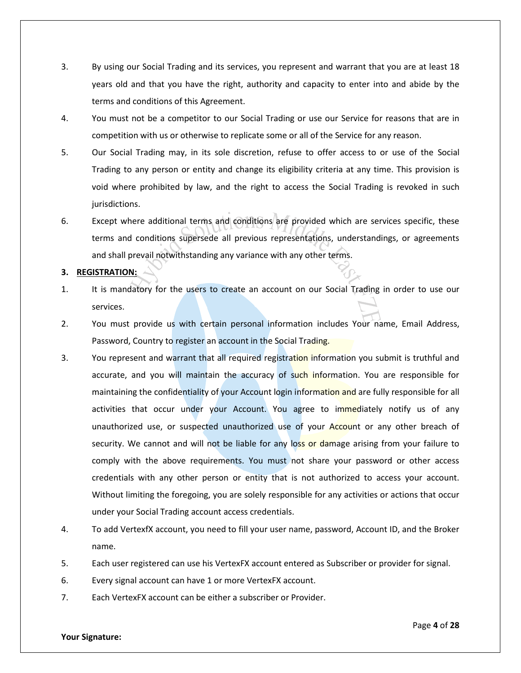- 3. By using our Social Trading and its services, you represent and warrant that you are at least 18 years old and that you have the right, authority and capacity to enter into and abide by the terms and conditions of this Agreement.
- 4. You must not be a competitor to our Social Trading or use our Service for reasons that are in competition with us or otherwise to replicate some or all of the Service for any reason.
- 5. Our Social Trading may, in its sole discretion, refuse to offer access to or use of the Social Trading to any person or entity and change its eligibility criteria at any time. This provision is void where prohibited by law, and the right to access the Social Trading is revoked in such jurisdictions.
- 6. Except where additional terms and conditions are provided which are services specific, these terms and conditions supersede all previous representations, understandings, or agreements and shall prevail notwithstanding any variance with any other terms.

# **3. REGISTRATION:**

- 1. It is mandatory for the users to create an account on our Social Trading in order to use our services.
- 2. You must provide us with certain personal information includes Your name, Email Address, Password, Country to register an account in the Social Trading.
- 3. You represent and warrant that all required registration information you submit is truthful and accurate, and you will maintain the accuracy of such information. You are responsible for maintaining the confidentiality of your Account login information and are fully responsible for all activities that occur under your Account. You agree to immediately notify us of any unauthorized use, or suspected unauthorized use of your Account or any other breach of security. We cannot and will not be liable for any loss or damage arising from your failure to comply with the above requirements. You must not share your password or other access credentials with any other person or entity that is not authorized to access your account. Without limiting the foregoing, you are solely responsible for any activities or actions that occur under your Social Trading account access credentials.
- 4. To add VertexfX account, you need to fill your user name, password, Account ID, and the Broker name.
- 5. Each user registered can use his VertexFX account entered as Subscriber or provider for signal.
- 6. Every signal account can have 1 or more VertexFX account.
- 7. Each VertexFX account can be either a subscriber or Provider.

### **Your Signature:**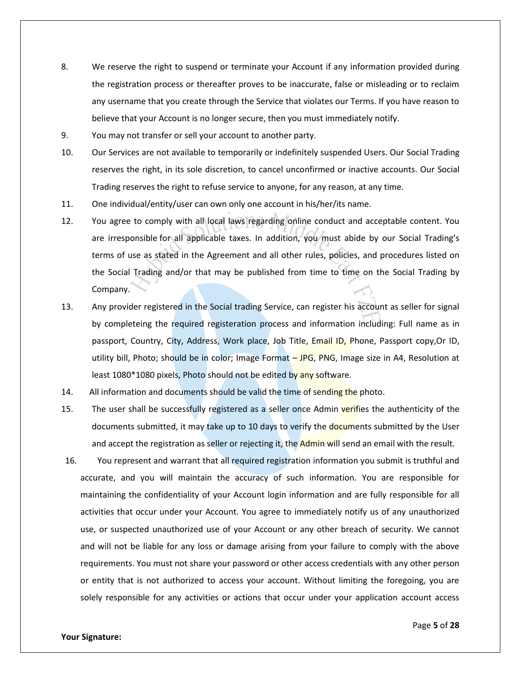- 8. We reserve the right to suspend or terminate your Account if any information provided during the registration process or thereafter proves to be inaccurate, false or misleading or to reclaim any username that you create through the Service that violates our Terms. If you have reason to believe that your Account is no longer secure, then you must immediately notify.
- 9. You may not transfer or sell your account to another party.
- 10. Our Services are not available to temporarily or indefinitely suspended Users. Our Social Trading reserves the right, in its sole discretion, to cancel unconfirmed or inactive accounts. Our Social Trading reserves the right to refuse service to anyone, for any reason, at any time.
- 11. One individual/entity/user can own only one account in his/her/its name.
- 12. You agree to comply with all local laws regarding online conduct and acceptable content. You are irresponsible for all applicable taxes. In addition, you must abide by our Social Trading's terms of use as stated in the Agreement and all other rules, policies, and procedures listed on the Social Trading and/or that may be published from time to time on the Social Trading by Company.
- 13. Any provider registered in the Social trading Service, can register his account as seller for signal by completeing the required registeration process and information including: Full name as in passport, Country, City, Address, Work place, Job Title, Email ID, Phone, Passport copy, Or ID, utility bill, Photo; should be in color; Image Format - JPG, PNG, Image size in A4, Resolution at least 1080\*1080 pixels, Photo should not be edited by any software.
- 14. All information and documents should be valid the time of sending the photo.
- 15. The user shall be successfully registered as a seller once Admin verifies the authenticity of the documents submitted, it may take up to 10 days to verify the documents submitted by the User and accept the registration as seller or rejecting it, the Admin will send an email with the result.
- 16. You represent and warrant that all required registration information you submit is truthful and accurate, and you will maintain the accuracy of such information. You are responsible for maintaining the confidentiality of your Account login information and are fully responsible for all activities that occur under your Account. You agree to immediately notify us of any unauthorized use, or suspected unauthorized use of your Account or any other breach of security. We cannot and will not be liable for any loss or damage arising from your failure to comply with the above requirements. You must not share your password or other access credentials with any other person or entity that is not authorized to access your account. Without limiting the foregoing, you are solely responsible for any activities or actions that occur under your application account access

#### **Your Signature:**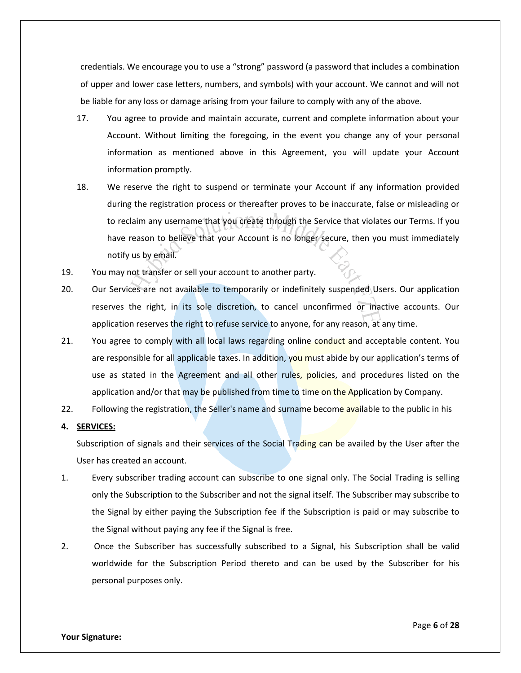credentials. We encourage you to use a "strong" password (a password that includes a combination of upper and lower case letters, numbers, and symbols) with your account. We cannot and will not be liable for any loss or damage arising from your failure to comply with any of the above.

- 17. You agree to provide and maintain accurate, current and complete information about your Account. Without limiting the foregoing, in the event you change any of your personal information as mentioned above in this Agreement, you will update your Account information promptly.
- 18. We reserve the right to suspend or terminate your Account if any information provided during the registration process or thereafter proves to be inaccurate, false or misleading or to reclaim any username that you create through the Service that violates our Terms. If you have reason to believe that your Account is no longer secure, then you must immediately notify us by email.
- 19. You may not transfer or sell your account to another party.
- 20. Our Services are not available to temporarily or indefinitely suspended Users. Our application reserves the right, in its sole discretion, to cancel unconfirmed or inactive accounts. Our application reserves the right to refuse service to anyone, for any reason, at any time.
- 21. You agree to comply with all local laws regarding online conduct and acceptable content. You are responsible for all applicable taxes. In addition, you must abide by our application's terms of use as stated in the Agreement and all other rules, policies, and procedures listed on the application and/or that may be published from time to time on the Application by Company.
- 22. Following the registration, the Seller's name and surname become available to the public in his
- **4. SERVICES:**

Subscription of signals and their services of the Social Trading can be availed by the User after the User has created an account.

- 1. Every subscriber trading account can subscribe to one signal only. The Social Trading is selling only the Subscription to the Subscriber and not the signal itself. The Subscriber may subscribe to the Signal by either paying the Subscription fee if the Subscription is paid or may subscribe to the Signal without paying any fee if the Signal is free.
- 2. Once the Subscriber has successfully subscribed to a Signal, his Subscription shall be valid worldwide for the Subscription Period thereto and can be used by the Subscriber for his personal purposes only.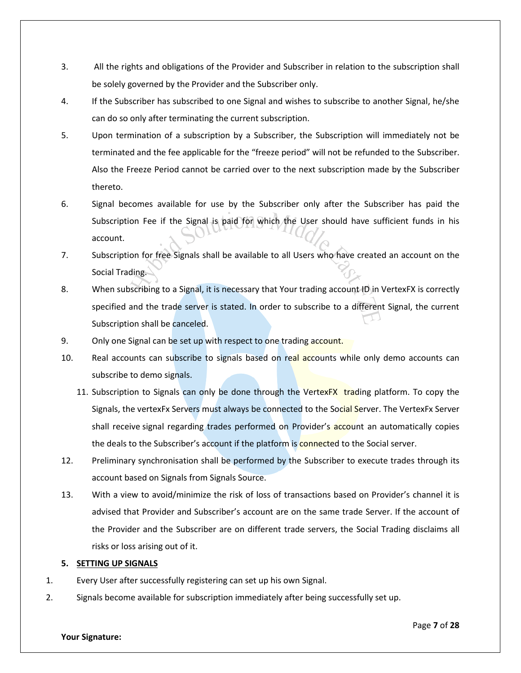- 3. All the rights and obligations of the Provider and Subscriber in relation to the subscription shall be solely governed by the Provider and the Subscriber only.
- 4. If the Subscriber has subscribed to one Signal and wishes to subscribe to another Signal, he/she can do so only after terminating the current subscription.
- 5. Upon termination of a subscription by a Subscriber, the Subscription will immediately not be terminated and the fee applicable for the "freeze period" will not be refunded to the Subscriber. Also the Freeze Period cannot be carried over to the next subscription made by the Subscriber thereto.
- 6. Signal becomes available for use by the Subscriber only after the Subscriber has paid the Subscription Fee if the Signal is paid for which the User should have sufficient funds in his account.
- 7. Subscription for free Signals shall be available to all Users who have created an account on the Social Trading.
- 8. When subscribing to a Signal, it is necessary that Your trading account ID in VertexFX is correctly specified and the trade server is stated. In order to subscribe to a different Signal, the current Subscription shall be canceled.
- 9. Only one Signal can be set up with respect to one trading account.
- 10. Real accounts can subscribe to signals based on real accounts while only demo accounts can subscribe to demo signals.
	- 11. Subscription to Signals can only be done through the VertexFX trading platform. To copy the Signals, the vertexFx Servers must always be connected to the Social Server. The VertexFx Server shall receive signal regarding trades performed on Provider's account an automatically copies the deals to the Subscriber's account if the platform is connected to the Social server.
- 12. Preliminary synchronisation shall be performed by the Subscriber to execute trades through its account based on Signals from Signals Source.
- 13. With a view to avoid/minimize the risk of loss of transactions based on Provider's channel it is advised that Provider and Subscriber's account are on the same trade Server. If the account of the Provider and the Subscriber are on different trade servers, the Social Trading disclaims all risks or loss arising out of it.

# **5. SETTING UP SIGNALS**

- 1. Every User after successfully registering can set up his own Signal.
- 2. Signals become available for subscription immediately after being successfully set up.

### **Your Signature:**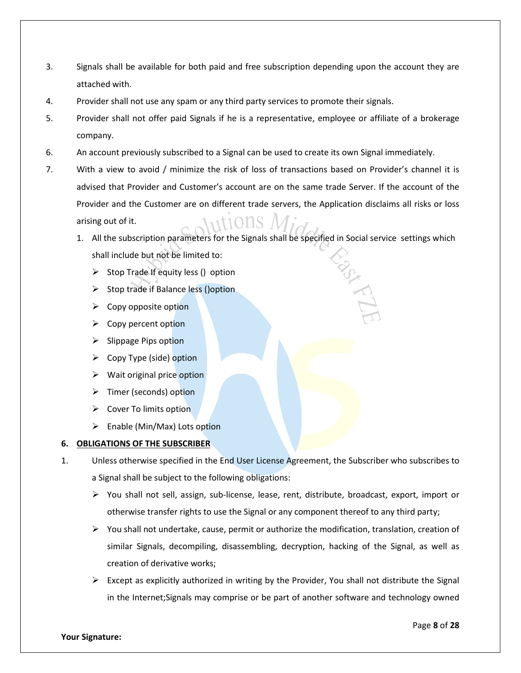- 3. Signals shall be available for both paid and free subscription depending upon the account they are attached with.
- 4. Provider shall not use any spam or any third party services to promote their signals.
- 5. Provider shall not offer paid Signals if he is a representative, employee or affiliate of a brokerage company.
- 6. An account previously subscribed to a Signal can be used to create its own Signal immediately.
- 7. With a view to avoid / minimize the risk of loss of transactions based on Provider's channel it is advised that Provider and Customer's account are on the same trade Server. If the account of the Provider and the Customer are on different trade servers, the Application disclaims all risks or loss arising out of it.
	- 1. All the subscription parameters for the Signals shall be specified in Social service settings which shall include but not be limited to:
		- $\triangleright$  Stop Trade If equity less () option
		- $\triangleright$  Stop trade if Balance less () option
		- $\triangleright$  Copy opposite option
		- $\triangleright$  Copy percent option
		- $\triangleright$  Slippage Pips option
		- $\triangleright$  Copy Type (side) option
		- $\triangleright$  Wait original price option
		- > Timer (seconds) option
		- $\triangleright$  Cover To limits option
		- $\triangleright$  Enable (Min/Max) Lots option

# **6. OBLIGATIONS OF THE SUBSCRIBER**

- 1. Unless otherwise specified in the End User License Agreement, the Subscriber who subscribes to a Signal shall be subject to the following obligations:
	- $\triangleright$  You shall not sell, assign, sub-license, lease, rent, distribute, broadcast, export, import or otherwise transfer rights to use the Signal or any component thereof to any third party;
	- $\triangleright$  You shall not undertake, cause, permit or authorize the modification, translation, creation of similar Signals, decompiling, disassembling, decryption, hacking of the Signal, as well as creation of derivative works;
	- $\triangleright$  Except as explicitly authorized in writing by the Provider, You shall not distribute the Signal in the Internet;Signals may comprise or be part of another software and technology owned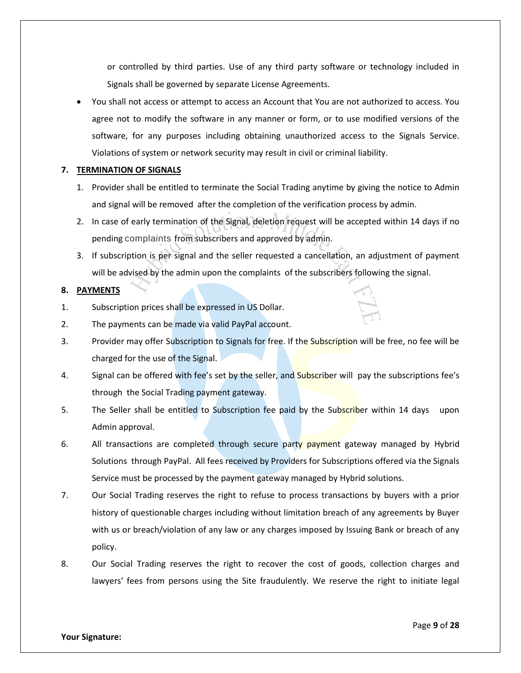or controlled by third parties. Use of any third party software or technology included in Signals shall be governed by separate License Agreements.

 You shall not access or attempt to access an Account that You are not authorized to access. You agree not to modify the software in any manner or form, or to use modified versions of the software, for any purposes including obtaining unauthorized access to the Signals Service. Violations of system or network security may result in civil or criminal liability.

# **7. TERMINATION OF SIGNALS**

- 1. Provider shall be entitled to terminate the Social Trading anytime by giving the notice to Admin and signal will be removed after the completion of the verification process by admin.
- 2. In case of early termination of the Signal, deletion request will be accepted within 14 days if no pending complaints from subscribers and approved by admin.
- 3. If subscription is per signal and the seller requested a cancellation, an adjustment of payment will be advised by the admin upon the complaints of the subscribers following the signal.

# **8. PAYMENTS**

- 1. Subscription prices shall be expressed in US Dollar.
- 2. The payments can be made via valid PayPal account.
- 3. Provider may offer Subscription to Signals for free. If the Subscription will be free, no fee will be charged for the use of the Signal.
- 4. Signal can be offered with fee's set by the seller, and Subscriber will pay the subscriptions fee's through the Social Trading payment gateway.
- 5. The Seller shall be entitled to Subscription fee paid by the Subscriber within 14 days upon Admin approval.
- 6. All transactions are completed through secure party payment gateway managed by Hybrid Solutions through PayPal. All fees received by Providers for Subscriptions offered via the Signals Service must be processed by the payment gateway managed by Hybrid solutions.
- 7. Our Social Trading reserves the right to refuse to process transactions by buyers with a prior history of questionable charges including without limitation breach of any agreements by Buyer with us or breach/violation of any law or any charges imposed by Issuing Bank or breach of any policy.
- 8. Our Social Trading reserves the right to recover the cost of goods, collection charges and lawyers' fees from persons using the Site fraudulently. We reserve the right to initiate legal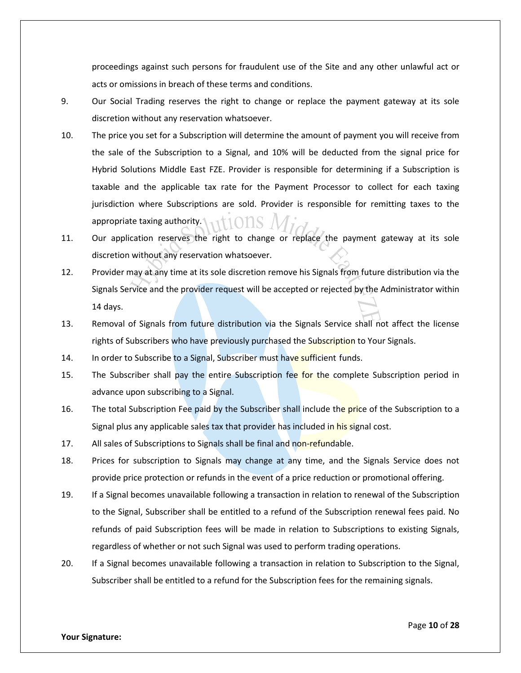proceedings against such persons for fraudulent use of the Site and any other unlawful act or acts or omissions in breach of these terms and conditions.

- 9. Our Social Trading reserves the right to change or replace the payment gateway at its sole discretion without any reservation whatsoever.
- 10. The price you set for a Subscription will determine the amount of payment you will receive from the sale of the Subscription to a Signal, and 10% will be deducted from the signal price for Hybrid Solutions Middle East FZE. Provider is responsible for determining if a Subscription is taxable and the applicable tax rate for the Payment Processor to collect for each taxing jurisdiction where Subscriptions are sold. Provider is responsible for remitting taxes to the appropriate taxing authority.
- 11. Our application reserves the right to change or replace the payment gateway at its sole discretion without any reservation whatsoever.
- 12. Provider may at any time at its sole discretion remove his Signals from future distribution via the Signals Service and the provider request will be accepted or rejected by the Administrator within 14 days.
- 13. Removal of Signals from future distribution via the Signals Service shall not affect the license rights of Subscribers who have previously purchased the Subscription to Your Signals.
- 14. In order to Subscribe to a Signal, Subscriber must have sufficient funds.
- 15. The Subscriber shall pay the entire Subscription fee for the complete Subscription period in advance upon subscribing to a Signal.
- 16. The total Subscription Fee paid by the Subscriber shall include the price of the Subscription to a Signal plus any applicable sales tax that provider has included in his signal cost.
- 17. All sales of Subscriptions to Signals shall be final and non-refundable.
- 18. Prices for subscription to Signals may change at any time, and the Signals Service does not provide price protection or refunds in the event of a price reduction or promotional offering.
- 19. If a Signal becomes unavailable following a transaction in relation to renewal of the Subscription to the Signal, Subscriber shall be entitled to a refund of the Subscription renewal fees paid. No refunds of paid Subscription fees will be made in relation to Subscriptions to existing Signals, regardless of whether or not such Signal was used to perform trading operations.
- 20. If a Signal becomes unavailable following a transaction in relation to Subscription to the Signal, Subscriber shall be entitled to a refund for the Subscription fees for the remaining signals.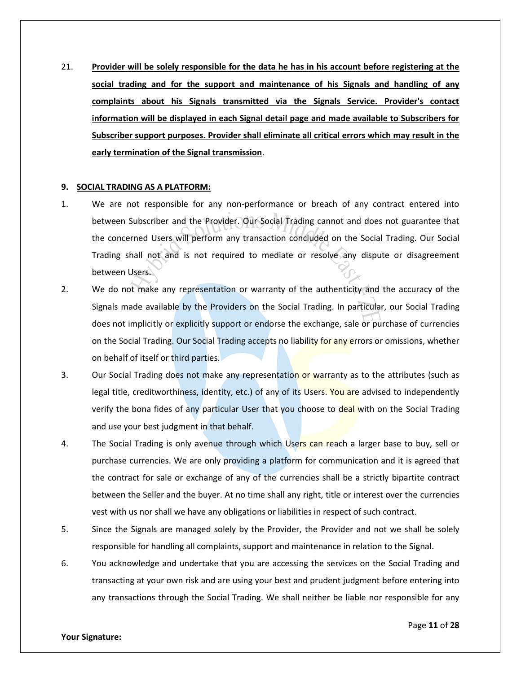21. **Provider will be solely responsible for the data he has in his account before registering at the social trading and for the support and maintenance of his Signals and handling of any complaints about his Signals transmitted via the Signals Service. Provider's contact information will be displayed in each Signal detail page and made available to Subscribers for Subscriber support purposes. Provider shall eliminate all critical errors which may result in the early termination of the Signal transmission**.

### **9. SOCIAL TRADING AS A PLATFORM:**

- 1. We are not responsible for any non-performance or breach of any contract entered into between Subscriber and the Provider. Our Social Trading cannot and does not guarantee that the concerned Users will perform any transaction concluded on the Social Trading. Our Social Trading shall not and is not required to mediate or resolve any dispute or disagreement between Users.
- 2. We do not make any representation or warranty of the authenticity and the accuracy of the Signals made available by the Providers on the Social Trading. In particular, our Social Trading does not implicitly or explicitly support or endorse the exchange, sale or purchase of currencies on the Social Trading. Our Social Trading accepts no liability for any errors or omissions, whether on behalf of itself or third parties.
- 3. Our Social Trading does not make any representation or warranty as to the attributes (such as legal title, creditworthiness, identity, etc.) of any of its Users. You are advised to independently verify the bona fides of any particular User that you choose to deal with on the Social Trading and use your best judgment in that behalf.
- 4. The Social Trading is only avenue through which Users can reach a larger base to buy, sell or purchase currencies. We are only providing a platform for communication and it is agreed that the contract for sale or exchange of any of the currencies shall be a strictly bipartite contract between the Seller and the buyer. At no time shall any right, title or interest over the currencies vest with us nor shall we have any obligations or liabilities in respect of such contract.
- 5. Since the Signals are managed solely by the Provider, the Provider and not we shall be solely responsible for handling all complaints, support and maintenance in relation to the Signal.
- 6. You acknowledge and undertake that you are accessing the services on the Social Trading and transacting at your own risk and are using your best and prudent judgment before entering into any transactions through the Social Trading. We shall neither be liable nor responsible for any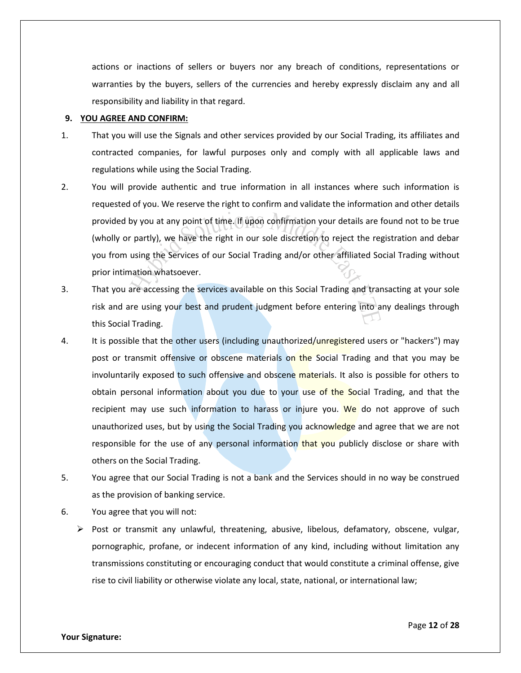actions or inactions of sellers or buyers nor any breach of conditions, representations or warranties by the buyers, sellers of the currencies and hereby expressly disclaim any and all responsibility and liability in that regard.

### **9. YOU AGREE AND CONFIRM:**

- 1. That you will use the Signals and other services provided by our Social Trading, its affiliates and contracted companies, for lawful purposes only and comply with all applicable laws and regulations while using the Social Trading.
- 2. You will provide authentic and true information in all instances where such information is requested of you. We reserve the right to confirm and validate the information and other details provided by you at any point of time. If upon confirmation your details are found not to be true (wholly or partly), we have the right in our sole discretion to reject the registration and debar you from using the Services of our Social Trading and/or other affiliated Social Trading without prior intimation whatsoever.
- 3. That you are accessing the services available on this Social Trading and transacting at your sole risk and are using your best and prudent judgment before entering into any dealings through this Social Trading.
- 4. It is possible that the other users (including unauthorized/unregistered users or "hackers") may post or transmit offensive or obscene materials on the Social Trading and that you may be involuntarily exposed to such offensive and obscene materials. It also is possible for others to obtain personal information about you due to your use of the Social Trading, and that the recipient may use such information to harass or injure you. We do not approve of such unauthorized uses, but by using the Social Trading you acknowledge and agree that we are not responsible for the use of any personal information that you publicly disclose or share with others on the Social Trading.
- 5. You agree that our Social Trading is not a bank and the Services should in no way be construed as the provision of banking service.
- 6. You agree that you will not:
	- $\triangleright$  Post or transmit any unlawful, threatening, abusive, libelous, defamatory, obscene, vulgar, pornographic, profane, or indecent information of any kind, including without limitation any transmissions constituting or encouraging conduct that would constitute a criminal offense, give rise to civil liability or otherwise violate any local, state, national, or international law;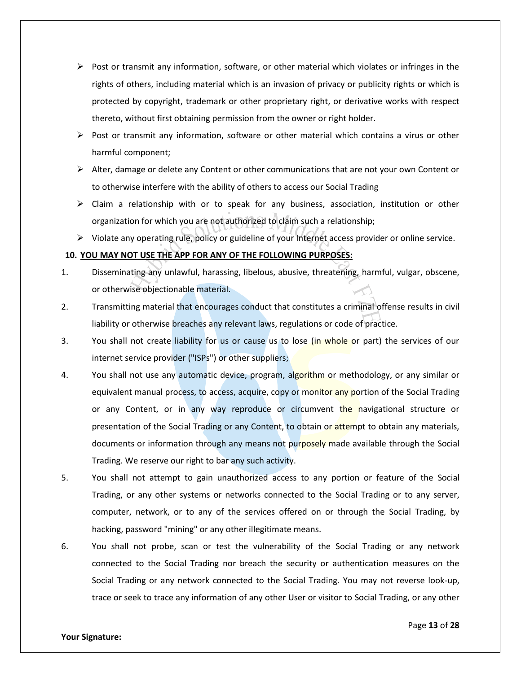- $\triangleright$  Post or transmit any information, software, or other material which violates or infringes in the rights of others, including material which is an invasion of privacy or publicity rights or which is protected by copyright, trademark or other proprietary right, or derivative works with respect thereto, without first obtaining permission from the owner or right holder.
- $\triangleright$  Post or transmit any information, software or other material which contains a virus or other harmful component;
- $\triangleright$  Alter, damage or delete any Content or other communications that are not your own Content or to otherwise interfere with the ability of others to access our Social Trading
- $\triangleright$  Claim a relationship with or to speak for any business, association, institution or other organization for which you are not authorized to claim such a relationship;
- $\triangleright$  Violate any operating rule, policy or guideline of your Internet access provider or online service.

# **10. YOU MAY NOT USE THE APP FOR ANY OF THE FOLLOWING PURPOSES:**

- 1. Disseminating any unlawful, harassing, libelous, abusive, threatening, harmful, vulgar, obscene, or otherwise objectionable material.
- 2. Transmitting material that encourages conduct that constitutes a criminal offense results in civil liability or otherwise breaches any relevant laws, regulations or code of practice.
- 3. You shall not create liability for us or cause us to lose (in whole or part) the services of our internet service provider ("ISPs") or other suppliers;
- 4. You shall not use any automatic device, program, algorithm or methodology, or any similar or equivalent manual process, to access, acquire, copy or monitor any portion of the Social Trading or any Content, or in any way reproduce or circumvent the navigational structure or presentation of the Social Trading or any Content, to obtain or attempt to obtain any materials, documents or information through any means not purposely made available through the Social Trading. We reserve our right to bar any such activity.
- 5. You shall not attempt to gain unauthorized access to any portion or feature of the Social Trading, or any other systems or networks connected to the Social Trading or to any server, computer, network, or to any of the services offered on or through the Social Trading, by hacking, password "mining" or any other illegitimate means.
- 6. You shall not probe, scan or test the vulnerability of the Social Trading or any network connected to the Social Trading nor breach the security or authentication measures on the Social Trading or any network connected to the Social Trading. You may not reverse look-up, trace or seek to trace any information of any other User or visitor to Social Trading, or any other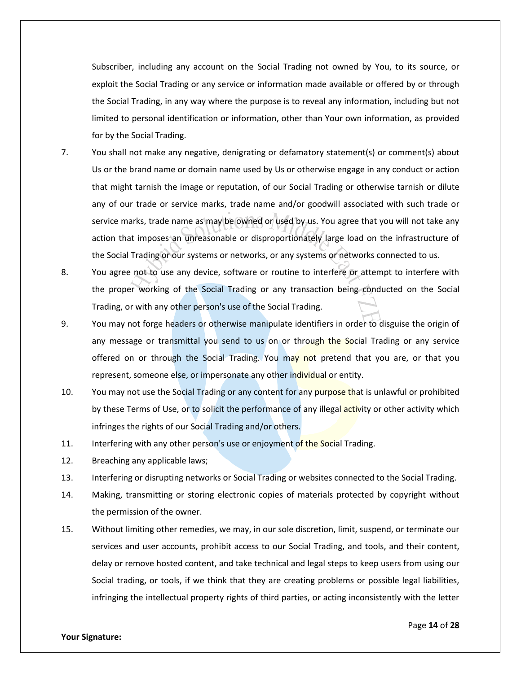Subscriber, including any account on the Social Trading not owned by You, to its source, or exploit the Social Trading or any service or information made available or offered by or through the Social Trading, in any way where the purpose is to reveal any information, including but not limited to personal identification or information, other than Your own information, as provided for by the Social Trading.

- 7. You shall not make any negative, denigrating or defamatory statement(s) or comment(s) about Us or the brand name or domain name used by Us or otherwise engage in any conduct or action that might tarnish the image or reputation, of our Social Trading or otherwise tarnish or dilute any of our trade or service marks, trade name and/or goodwill associated with such trade or service marks, trade name as may be owned or used by us. You agree that you will not take any action that imposes an unreasonable or disproportionately large load on the infrastructure of the Social Trading or our systems or networks, or any systems or networks connected to us.
- 8. You agree not to use any device, software or routine to interfere or attempt to interfere with the proper working of the Social Trading or any transaction being conducted on the Social Trading, or with any other person's use of the Social Trading.
- 9. You may not forge headers or otherwise manipulate identifiers in order to disguise the origin of any message or transmittal you send to us on or through the Social Trading or any service offered on or through the Social Trading. You may not pretend that you are, or that you represent, someone else, or impersonate any other individual or entity.
- 10. You may not use the Social Trading or any content for any purpose that is unlawful or prohibited by these Terms of Use, or to solicit the performance of any illegal activity or other activity which infringes the rights of our Social Trading and/or others.
- 11. Interfering with any other person's use or enjoyment of the Social Trading.
- 12. Breaching any applicable laws;
- 13. Interfering or disrupting networks or Social Trading or websites connected to the Social Trading.
- 14. Making, transmitting or storing electronic copies of materials protected by copyright without the permission of the owner.
- 15. Without limiting other remedies, we may, in our sole discretion, limit, suspend, or terminate our services and user accounts, prohibit access to our Social Trading, and tools, and their content, delay or remove hosted content, and take technical and legal steps to keep users from using our Social trading, or tools, if we think that they are creating problems or possible legal liabilities, infringing the intellectual property rights of third parties, or acting inconsistently with the letter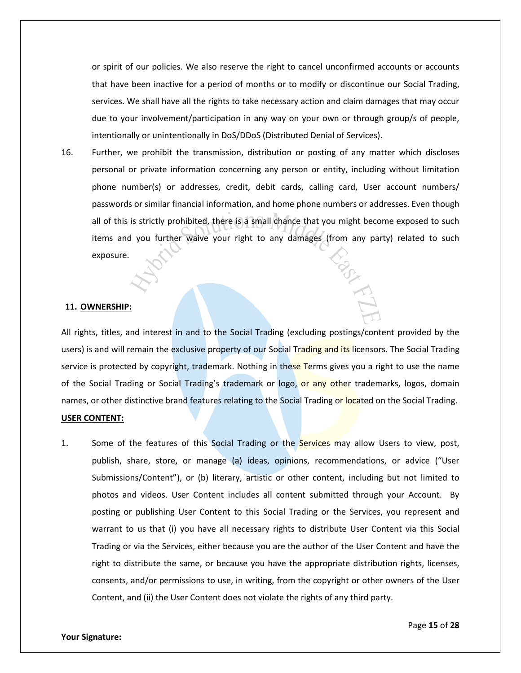or spirit of our policies. We also reserve the right to cancel unconfirmed accounts or accounts that have been inactive for a period of months or to modify or discontinue our Social Trading, services. We shall have all the rights to take necessary action and claim damages that may occur due to your involvement/participation in any way on your own or through group/s of people, intentionally or unintentionally in DoS/DDoS (Distributed Denial of Services).

16. Further, we prohibit the transmission, distribution or posting of any matter which discloses personal or private information concerning any person or entity, including without limitation phone number(s) or addresses, credit, debit cards, calling card, User account numbers/ passwords or similar financial information, and home phone numbers or addresses. Even though all of this is strictly prohibited, there is a small chance that you might become exposed to such items and you further waive your right to any damages (from any party) related to such exposure.

#### **11. OWNERSHIP:**

All rights, titles, and interest in and to the Social Trading (excluding postings/content provided by the users) is and will remain the exclusive property of our Social Trading and its licensors. The Social Trading service is protected by copyright, trademark. Nothing in these Terms gives you a right to use the name of the Social Trading or Social Trading's trademark or logo, or any other trademarks, logos, domain names, or other distinctive brand features relating to the Social Trading or located on the Social Trading.

### **USER CONTENT:**

1. Some of the features of this Social Trading or the Services may allow Users to view, post, publish, share, store, or manage (a) ideas, opinions, recommendations, or advice ("User Submissions/Content"), or (b) literary, artistic or other content, including but not limited to photos and videos. User Content includes all content submitted through your Account. By posting or publishing User Content to this Social Trading or the Services, you represent and warrant to us that (i) you have all necessary rights to distribute User Content via this Social Trading or via the Services, either because you are the author of the User Content and have the right to distribute the same, or because you have the appropriate distribution rights, licenses, consents, and/or permissions to use, in writing, from the copyright or other owners of the User Content, and (ii) the User Content does not violate the rights of any third party.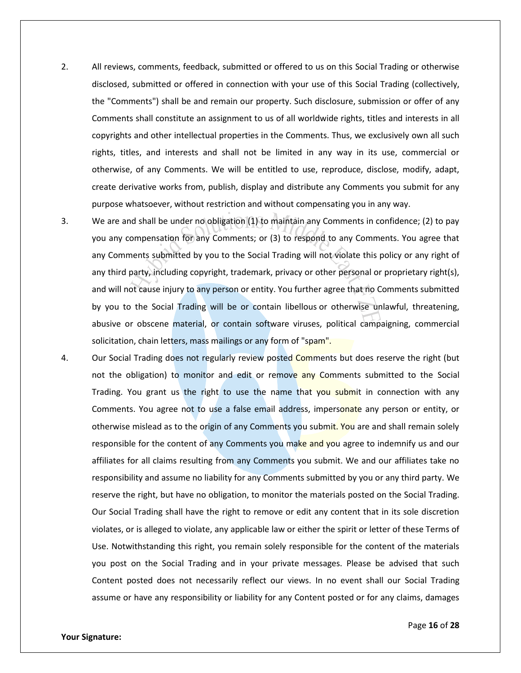- 2. All reviews, comments, feedback, submitted or offered to us on this Social Trading or otherwise disclosed, submitted or offered in connection with your use of this Social Trading (collectively, the "Comments") shall be and remain our property. Such disclosure, submission or offer of any Comments shall constitute an assignment to us of all worldwide rights, titles and interests in all copyrights and other intellectual properties in the Comments. Thus, we exclusively own all such rights, titles, and interests and shall not be limited in any way in its use, commercial or otherwise, of any Comments. We will be entitled to use, reproduce, disclose, modify, adapt, create derivative works from, publish, display and distribute any Comments you submit for any purpose whatsoever, without restriction and without compensating you in any way.
- 3. We are and shall be under no obligation (1) to maintain any Comments in confidence; (2) to pay you any compensation for any Comments; or (3) to respond to any Comments. You agree that any Comments submitted by you to the Social Trading will not violate this policy or any right of any third party, including copyright, trademark, privacy or other personal or proprietary right(s), and will not cause injury to any person or entity. You further agree that no Comments submitted by you to the Social Trading will be or contain libellous or otherwise unlawful, threatening, abusive or obscene material, or contain software viruses, political campaigning, commercial solicitation, chain letters, mass mailings or any form of "spam".
- 4. Our Social Trading does not regularly review posted Comments but does reserve the right (but not the obligation) to monitor and edit or remove any Comments submitted to the Social Trading. You grant us the right to use the name that you submit in connection with any Comments. You agree not to use a false email address, impersonate any person or entity, or otherwise mislead as to the origin of any Comments you submit. You are and shall remain solely responsible for the content of any Comments you make and you agree to indemnify us and our affiliates for all claims resulting from any Comments you submit. We and our affiliates take no responsibility and assume no liability for any Comments submitted by you or any third party. We reserve the right, but have no obligation, to monitor the materials posted on the Social Trading. Our Social Trading shall have the right to remove or edit any content that in its sole discretion violates, or is alleged to violate, any applicable law or either the spirit or letter of these Terms of Use. Notwithstanding this right, you remain solely responsible for the content of the materials you post on the Social Trading and in your private messages. Please be advised that such Content posted does not necessarily reflect our views. In no event shall our Social Trading assume or have any responsibility or liability for any Content posted or for any claims, damages

Page **16** of **28**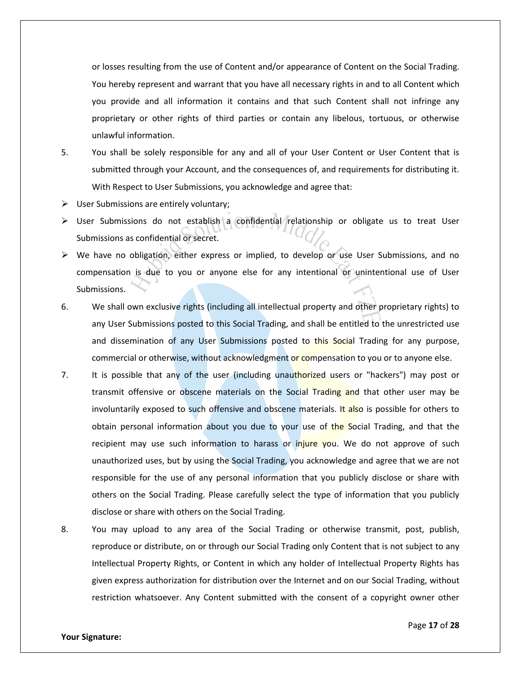or losses resulting from the use of Content and/or appearance of Content on the Social Trading. You hereby represent and warrant that you have all necessary rights in and to all Content which you provide and all information it contains and that such Content shall not infringe any proprietary or other rights of third parties or contain any libelous, tortuous, or otherwise unlawful information.

- 5. You shall be solely responsible for any and all of your User Content or User Content that is submitted through your Account, and the consequences of, and requirements for distributing it. With Respect to User Submissions, you acknowledge and agree that:
- $\triangleright$  User Submissions are entirely voluntary;
- $\triangleright$  User Submissions do not establish a confidential relationship or obligate us to treat User Submissions as confidential or secret.
- $\triangleright$  We have no obligation, either express or implied, to develop or use User Submissions, and no compensation is due to you or anyone else for any intentional or unintentional use of User Submissions.
- 6. We shall own exclusive rights (including all intellectual property and other proprietary rights) to any User Submissions posted to this Social Trading, and shall be entitled to the unrestricted use and dissemination of any User Submissions posted to this Social Trading for any purpose, commercial or otherwise, without acknowledgment or compensation to you or to anyone else.
- 7. It is possible that any of the user (including unauthorized users or "hackers") may post or transmit offensive or obscene materials on the Social Trading and that other user may be involuntarily exposed to such offensive and obscene materials. It also is possible for others to obtain personal information about you due to your use of the Social Trading, and that the recipient may use such information to harass or injure you. We do not approve of such unauthorized uses, but by using the Social Trading, you acknowledge and agree that we are not responsible for the use of any personal information that you publicly disclose or share with others on the Social Trading. Please carefully select the type of information that you publicly disclose or share with others on the Social Trading.
- 8. You may upload to any area of the Social Trading or otherwise transmit, post, publish, reproduce or distribute, on or through our Social Trading only Content that is not subject to any Intellectual Property Rights, or Content in which any holder of Intellectual Property Rights has given express authorization for distribution over the Internet and on our Social Trading, without restriction whatsoever. Any Content submitted with the consent of a copyright owner other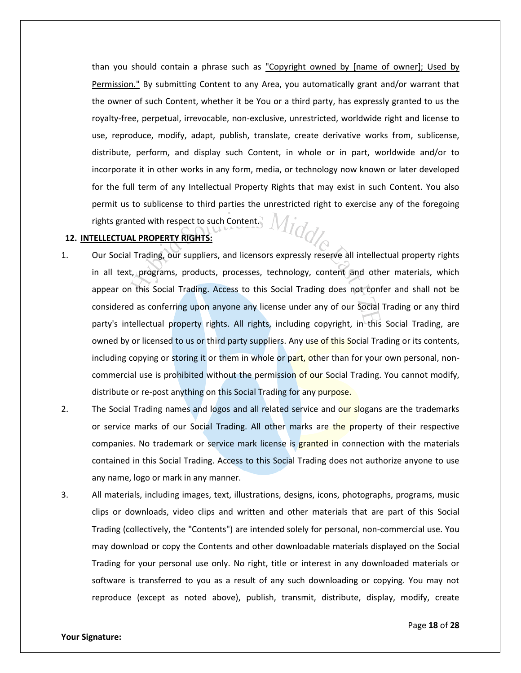than you should contain a phrase such as "Copyright owned by [name of owner]; Used by Permission." By submitting Content to any Area, you automatically grant and/or warrant that the owner of such Content, whether it be You or a third party, has expressly granted to us the royalty-free, perpetual, irrevocable, non-exclusive, unrestricted, worldwide right and license to use, reproduce, modify, adapt, publish, translate, create derivative works from, sublicense, distribute, perform, and display such Content, in whole or in part, worldwide and/or to incorporate it in other works in any form, media, or technology now known or later developed for the full term of any Intellectual Property Rights that may exist in such Content. You also permit us to sublicense to third parties the unrestricted right to exercise any of the foregoing<br>rights granted with respect to such Content. rights granted with respect to such Content.

# **12. INTELLECTUAL PROPERTY RIGHTS:**

- 1. Our Social Trading, our suppliers, and licensors expressly reserve all intellectual property rights in all text, programs, products, processes, technology, content and other materials, which appear on this Social Trading. Access to this Social Trading does not confer and shall not be considered as conferring upon anyone any license under any of our Social Trading or any third party's intellectual property rights. All rights, including copyright, in this Social Trading, are owned by or licensed to us or third party suppliers. Any use of this Social Trading or its contents, including copying or storing it or them in whole or part, other than for your own personal, noncommercial use is prohibited without the permission of our Social Trading. You cannot modify, distribute or re-post anything on this Social Trading for any purpose.
- 2. The Social Trading names and logos and all related service and our slogans are the trademarks or service marks of our Social Trading. All other marks are the property of their respective companies. No trademark or service mark license is granted in connection with the materials contained in this Social Trading. Access to this Social Trading does not authorize anyone to use any name, logo or mark in any manner.
- 3. All materials, including images, text, illustrations, designs, icons, photographs, programs, music clips or downloads, video clips and written and other materials that are part of this Social Trading (collectively, the "Contents") are intended solely for personal, non-commercial use. You may download or copy the Contents and other downloadable materials displayed on the Social Trading for your personal use only. No right, title or interest in any downloaded materials or software is transferred to you as a result of any such downloading or copying. You may not reproduce (except as noted above), publish, transmit, distribute, display, modify, create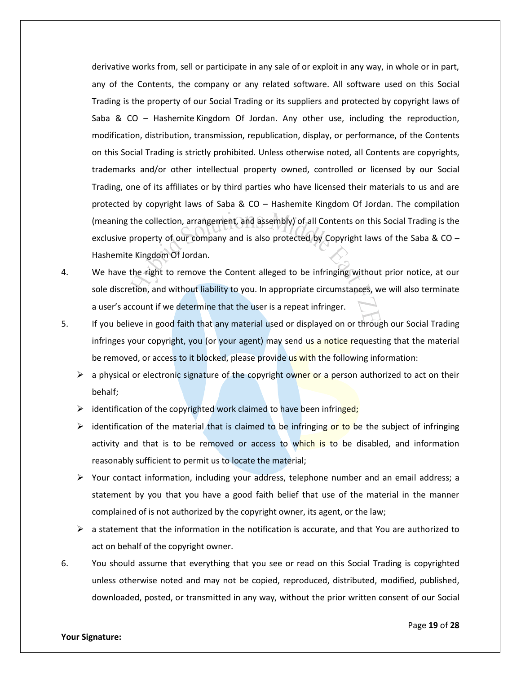derivative works from, sell or participate in any sale of or exploit in any way, in whole or in part, any of the Contents, the company or any related software. All software used on this Social Trading is the property of our Social Trading or its suppliers and protected by copyright laws of Saba & CO – Hashemite Kingdom Of Jordan. Any other use, including the reproduction, modification, distribution, transmission, republication, display, or performance, of the Contents on this Social Trading is strictly prohibited. Unless otherwise noted, all Contents are copyrights, trademarks and/or other intellectual property owned, controlled or licensed by our Social Trading, one of its affiliates or by third parties who have licensed their materials to us and are protected by copyright laws of Saba & CO – Hashemite Kingdom Of Jordan. The compilation (meaning the collection, arrangement, and assembly) of all Contents on this Social Trading is the exclusive property of our company and is also protected by Copyright laws of the Saba & CO – Hashemite Kingdom Of Jordan.

- 4. We have the right to remove the Content alleged to be infringing without prior notice, at our sole discretion, and without liability to you. In appropriate circumstances, we will also terminate a user's account if we determine that the user is a repeat infringer.
- 5. If you believe in good faith that any material used or displayed on or through our Social Trading infringes your copyright, you (or your agent) may send us a notice requesting that the material be removed, or access to it blocked, please provide us with the following information:
	- $\triangleright$  a physical or electronic signature of the copyright owner or a person authorized to act on their behalf;
	- $\triangleright$  identification of the copyrighted work claimed to have been infringed;
	- $\triangleright$  identification of the material that is claimed to be infringing or to be the subject of infringing activity and that is to be removed or access to which is to be disabled, and information reasonably sufficient to permit us to locate the material;
	- $\triangleright$  Your contact information, including your address, telephone number and an email address; a statement by you that you have a good faith belief that use of the material in the manner complained of is not authorized by the copyright owner, its agent, or the law;
	- $\triangleright$  a statement that the information in the notification is accurate, and that You are authorized to act on behalf of the copyright owner.
- 6. You should assume that everything that you see or read on this Social Trading is copyrighted unless otherwise noted and may not be copied, reproduced, distributed, modified, published, downloaded, posted, or transmitted in any way, without the prior written consent of our Social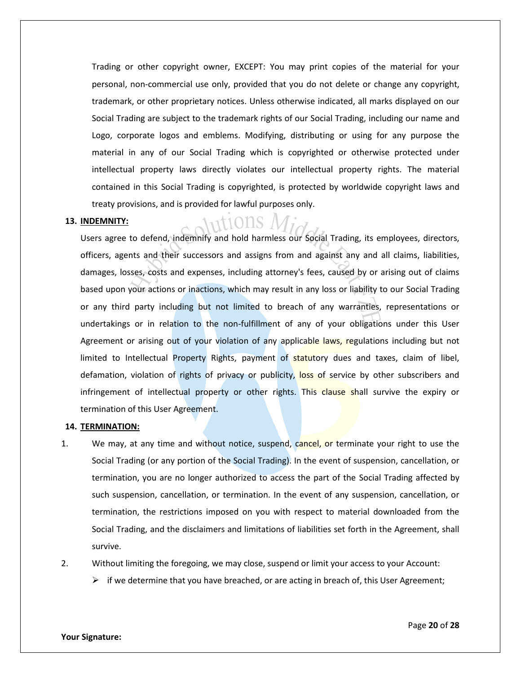Trading or other copyright owner, EXCEPT: You may print copies of the material for your personal, non-commercial use only, provided that you do not delete or change any copyright, trademark, or other proprietary notices. Unless otherwise indicated, all marks displayed on our Social Trading are subject to the trademark rights of our Social Trading, including our name and Logo, corporate logos and emblems. Modifying, distributing or using for any purpose the material in any of our Social Trading which is copyrighted or otherwise protected under intellectual property laws directly violates our intellectual property rights. The material contained in this Social Trading is copyrighted, is protected by worldwide copyright laws and treaty provisions, and is provided for lawful purposes only.

### **13. INDEMNITY:**

Users agree to defend, indemnify and hold harmless our Social Trading, its employees, directors, officers, agents and their successors and assigns from and against any and all claims, liabilities, damages, losses, costs and expenses, including attorney's fees, caused by or arising out of claims based upon your actions or inactions, which may result in any loss or liability to our Social Trading or any third party including but not limited to breach of any warranties, representations or undertakings or in relation to the non-fulfillment of any of your obligations under this User Agreement or arising out of your violation of any applicable laws, regulations including but not limited to Intellectual Property Rights, payment of statutory dues and taxes, claim of libel, defamation, violation of rights of privacy or publicity, loss of service by other subscribers and infringement of intellectual property or other rights. This clause shall survive the expiry or termination of this User Agreement.

#### **14. TERMINATION:**

- 1. We may, at any time and without notice, suspend, cancel, or terminate your right to use the Social Trading (or any portion of the Social Trading). In the event of suspension, cancellation, or termination, you are no longer authorized to access the part of the Social Trading affected by such suspension, cancellation, or termination. In the event of any suspension, cancellation, or termination, the restrictions imposed on you with respect to material downloaded from the Social Trading, and the disclaimers and limitations of liabilities set forth in the Agreement, shall survive.
- 2. Without limiting the foregoing, we may close, suspend or limit your access to your Account:
	- $\triangleright$  if we determine that you have breached, or are acting in breach of, this User Agreement;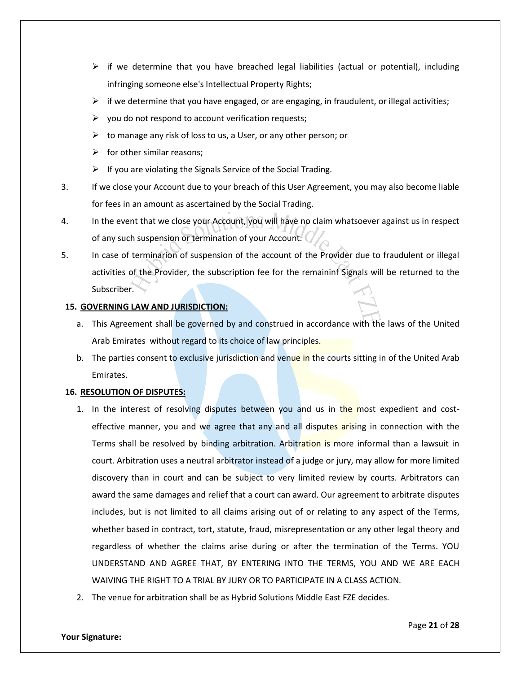- $\triangleright$  if we determine that you have breached legal liabilities (actual or potential), including infringing someone else's Intellectual Property Rights;
- $\triangleright$  if we determine that you have engaged, or are engaging, in fraudulent, or illegal activities;
- $\triangleright$  you do not respond to account verification requests;
- $\triangleright$  to manage any risk of loss to us, a User, or any other person; or
- $\triangleright$  for other similar reasons:
- $\triangleright$  If you are violating the Signals Service of the Social Trading.
- 3. If we close your Account due to your breach of this User Agreement, you may also become liable for fees in an amount as ascertained by the Social Trading.
- 4. In the event that we close your Account, you will have no claim whatsoever against us in respect of any such suspension or termination of your Account.
- 5. In case of terminarion of suspension of the account of the Provider due to fraudulent or illegal activities of the Provider, the subscription fee for the remaininf Signals will be returned to the Subscriber.

# **15. GOVERNING LAW AND JURISDICTION:**

- a. This Agreement shall be governed by and construed in accordance with the laws of the United Arab Emirates without regard to its choice of law principles.
- b. The parties consent to exclusive jurisdiction and venue in the courts sitting in of the United Arab Emirates.

# **16. RESOLUTION OF DISPUTES:**

- 1. In the interest of resolving disputes between you and us in the most expedient and costeffective manner, you and we agree that any and all disputes arising in connection with the Terms shall be resolved by binding arbitration. Arbitration is more informal than a lawsuit in court. Arbitration uses a neutral arbitrator instead of a judge or jury, may allow for more limited discovery than in court and can be subject to very limited review by courts. Arbitrators can award the same damages and relief that a court can award. Our agreement to arbitrate disputes includes, but is not limited to all claims arising out of or relating to any aspect of the Terms, whether based in contract, tort, statute, fraud, misrepresentation or any other legal theory and regardless of whether the claims arise during or after the termination of the Terms. YOU UNDERSTAND AND AGREE THAT, BY ENTERING INTO THE TERMS, YOU AND WE ARE EACH WAIVING THE RIGHT TO A TRIAL BY JURY OR TO PARTICIPATE IN A CLASS ACTION.
- 2. The venue for arbitration shall be as Hybrid Solutions Middle East FZE decides.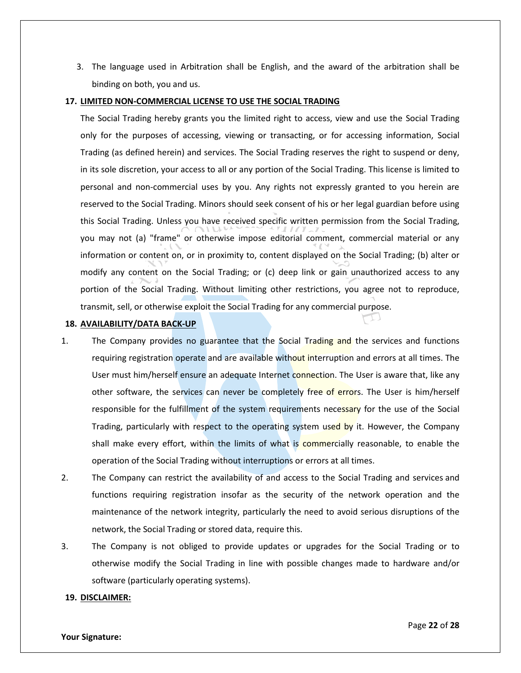3. The language used in Arbitration shall be English, and the award of the arbitration shall be binding on both, you and us.

### **17. LIMITED NON-COMMERCIAL LICENSE TO USE THE SOCIAL TRADING**

The Social Trading hereby grants you the limited right to access, view and use the Social Trading only for the purposes of accessing, viewing or transacting, or for accessing information, Social Trading (as defined herein) and services. The Social Trading reserves the right to suspend or deny, in its sole discretion, your access to all or any portion of the Social Trading. This license is limited to personal and non-commercial uses by you. Any rights not expressly granted to you herein are reserved to the Social Trading. Minors should seek consent of his or her legal guardian before using this Social Trading. Unless you have received specific written permission from the Social Trading, you may not (a) "frame" or otherwise impose editorial comment, commercial material or any information or content on, or in proximity to, content displayed on the Social Trading; (b) alter or modify any content on the Social Trading; or (c) deep link or gain unauthorized access to any portion of the Social Trading. Without limiting other restrictions, you agree not to reproduce, transmit, sell, or otherwise exploit the Social Trading for any commercial purpose.

# **18. AVAILABILITY/DATA BACK-UP**

- 1. The Company provides no guarantee that the Social Trading and the services and functions requiring registration operate and are available without interruption and errors at all times. The User must him/herself ensure an adequate Internet connection. The User is aware that, like any other software, the services can never be completely free of errors. The User is him/herself responsible for the fulfillment of the system requirements necessary for the use of the Social Trading, particularly with respect to the operating system used by it. However, the Company shall make every effort, within the limits of what is commercially reasonable, to enable the operation of the Social Trading without interruptions or errors at all times.
- 2. The Company can restrict the availability of and access to the Social Trading and services and functions requiring registration insofar as the security of the network operation and the maintenance of the network integrity, particularly the need to avoid serious disruptions of the network, the Social Trading or stored data, require this.
- 3. The Company is not obliged to provide updates or upgrades for the Social Trading or to otherwise modify the Social Trading in line with possible changes made to hardware and/or software (particularly operating systems).

### **19. DISCLAIMER:**

#### **Your Signature:**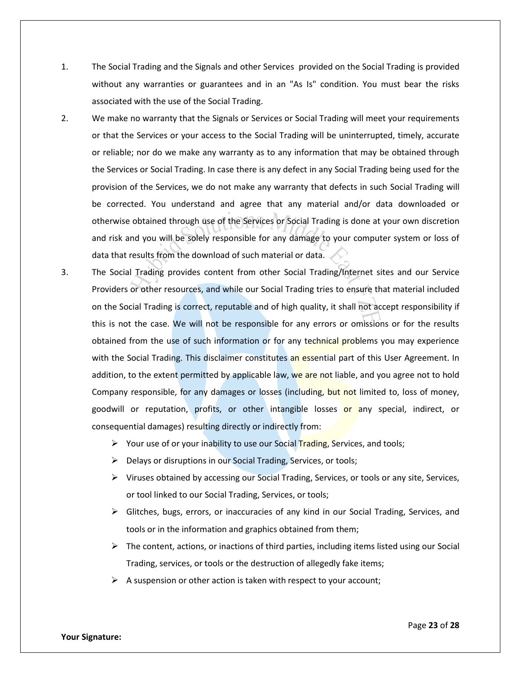- 1. The Social Trading and the Signals and other Services provided on the Social Trading is provided without any warranties or guarantees and in an "As Is" condition. You must bear the risks associated with the use of the Social Trading.
- 2. We make no warranty that the Signals or Services or Social Trading will meet your requirements or that the Services or your access to the Social Trading will be uninterrupted, timely, accurate or reliable; nor do we make any warranty as to any information that may be obtained through the Services or Social Trading. In case there is any defect in any Social Trading being used for the provision of the Services, we do not make any warranty that defects in such Social Trading will be corrected. You understand and agree that any material and/or data downloaded or otherwise obtained through use of the Services or Social Trading is done at your own discretion and risk and you will be solely responsible for any damage to your computer system or loss of data that results from the download of such material or data.
- 3. The Social Trading provides content from other Social Trading/Internet sites and our Service Providers or other resources, and while our Social Trading tries to ensure that material included on the Social Trading is correct, reputable and of high quality, it shall not accept responsibility if this is not the case. We will not be responsible for any errors or omissions or for the results obtained from the use of such information or for any technical problems you may experience with the Social Trading. This disclaimer constitutes an essential part of this User Agreement. In addition, to the extent permitted by applicable law, we are not liable, and you agree not to hold Company responsible, for any damages or losses (including, but not limited to, loss of money, goodwill or reputation, profits, or other intangible losses or any special, indirect, or consequential damages) resulting directly or indirectly from:
	- $\triangleright$  Your use of or your inability to use our Social Trading, Services, and tools;
	- $\triangleright$  Delays or disruptions in our Social Trading, Services, or tools;
	- $\triangleright$  Viruses obtained by accessing our Social Trading, Services, or tools or any site, Services, or tool linked to our Social Trading, Services, or tools;
	- $\triangleright$  Glitches, bugs, errors, or inaccuracies of any kind in our Social Trading, Services, and tools or in the information and graphics obtained from them;
	- $\triangleright$  The content, actions, or inactions of third parties, including items listed using our Social Trading, services, or tools or the destruction of allegedly fake items;
	- $\triangleright$  A suspension or other action is taken with respect to your account;

**Your Signature:** 

Page **23** of **28**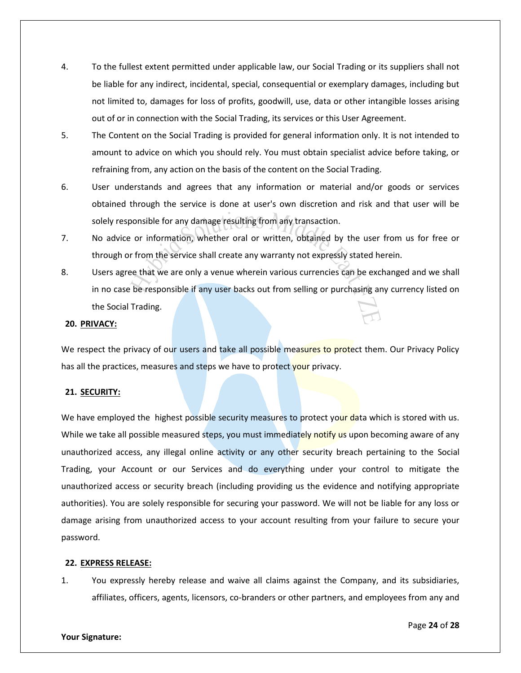- 4. To the fullest extent permitted under applicable law, our Social Trading or its suppliers shall not be liable for any indirect, incidental, special, consequential or exemplary damages, including but not limited to, damages for loss of profits, goodwill, use, data or other intangible losses arising out of or in connection with the Social Trading, its services or this User Agreement.
- 5. The Content on the Social Trading is provided for general information only. It is not intended to amount to advice on which you should rely. You must obtain specialist advice before taking, or refraining from, any action on the basis of the content on the Social Trading.
- 6. User understands and agrees that any information or material and/or goods or services obtained through the service is done at user's own discretion and risk and that user will be solely responsible for any damage resulting from any transaction.
- 7. No advice or information, whether oral or written, obtained by the user from us for free or through or from the service shall create any warranty not expressly stated herein.
- 8. Users agree that we are only a venue wherein various currencies can be exchanged and we shall in no case be responsible if any user backs out from selling or purchasing any currency listed on the Social Trading.

# **20. PRIVACY:**

We respect the privacy of our users and take all possible measures to protect them. Our Privacy Policy has all the practices, measures and steps we have to protect your privacy.

# **21. SECURITY:**

We have employed the highest possible security measures to protect your data which is stored with us. While we take all possible measured steps, you must immediately notify us upon becoming aware of any unauthorized access, any illegal online activity or any other security breach pertaining to the Social Trading, your Account or our Services and do everything under your control to mitigate the unauthorized access or security breach (including providing us the evidence and notifying appropriate authorities). You are solely responsible for securing your password. We will not be liable for any loss or damage arising from unauthorized access to your account resulting from your failure to secure your password.

# **22. EXPRESS RELEASE:**

1. You expressly hereby release and waive all claims against the Company, and its subsidiaries, affiliates, officers, agents, licensors, co-branders or other partners, and employees from any and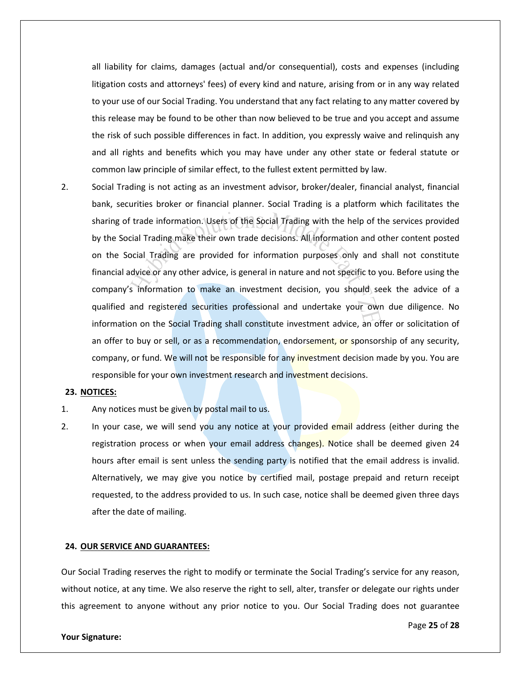all liability for claims, damages (actual and/or consequential), costs and expenses (including litigation costs and attorneys' fees) of every kind and nature, arising from or in any way related to your use of our Social Trading. You understand that any fact relating to any matter covered by this release may be found to be other than now believed to be true and you accept and assume the risk of such possible differences in fact. In addition, you expressly waive and relinquish any and all rights and benefits which you may have under any other state or federal statute or common law principle of similar effect, to the fullest extent permitted by law.

2. Social Trading is not acting as an investment advisor, broker/dealer, financial analyst, financial bank, securities broker or financial planner. Social Trading is a platform which facilitates the sharing of trade information. Users of the Social Trading with the help of the services provided by the Social Trading make their own trade decisions. All information and other content posted on the Social Trading are provided for information purposes only and shall not constitute financial advice or any other advice, is general in nature and not specific to you. Before using the company's information to make an investment decision, you should seek the advice of a qualified and registered securities professional and undertake your own due diligence. No information on the Social Trading shall constitute investment advice, an offer or solicitation of an offer to buy or sell, or as a recommendation, endorsement, or sponsorship of any security, company, or fund. We will not be responsible for any investment decision made by you. You are responsible for your own investment research and investment decisions.

# **23. NOTICES:**

- 1. Any notices must be given by postal mail to us.
- 2. In your case, we will send you any notice at your provided email address (either during the registration process or when your email address changes). Notice shall be deemed given 24 hours after email is sent unless the sending party is notified that the email address is invalid. Alternatively, we may give you notice by certified mail, postage prepaid and return receipt requested, to the address provided to us. In such case, notice shall be deemed given three days after the date of mailing.

## **24. OUR SERVICE AND GUARANTEES:**

Our Social Trading reserves the right to modify or terminate the Social Trading's service for any reason, without notice, at any time. We also reserve the right to sell, alter, transfer or delegate our rights under this agreement to anyone without any prior notice to you. Our Social Trading does not guarantee

#### **Your Signature:**

Page **25** of **28**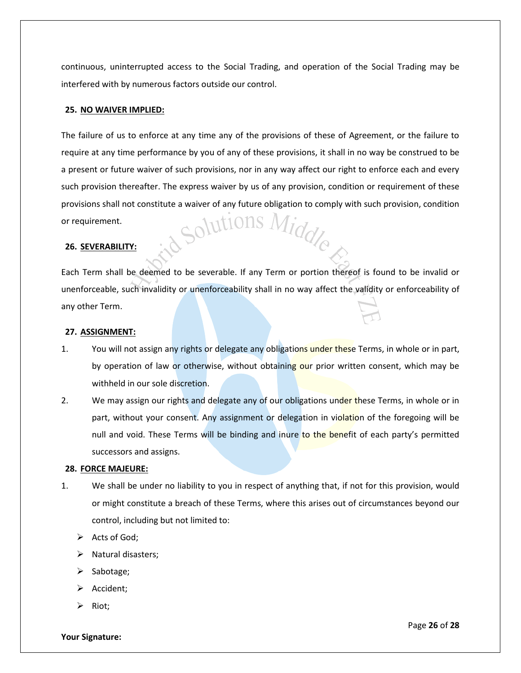continuous, uninterrupted access to the Social Trading, and operation of the Social Trading may be interfered with by numerous factors outside our control.

# **25. NO WAIVER IMPLIED:**

The failure of us to enforce at any time any of the provisions of these of Agreement, or the failure to require at any time performance by you of any of these provisions, it shall in no way be construed to be a present or future waiver of such provisions, nor in any way affect our right to enforce each and every such provision thereafter. The express waiver by us of any provision, condition or requirement of these provisions shall not constitute a waiver of any future obligation to comply with such provision, condition or requirement. or requirement.

## **26. SEVERABILITY:**

Each Term shall be deemed to be severable. If any Term or portion thereof is found to be invalid or unenforceable, such invalidity or unenforceability shall in no way affect the validity or enforceability of any other Term.

#### **27. ASSIGNMENT:**

- 1. You will not assign any rights or delegate any obligations under these Terms, in whole or in part, by operation of law or otherwise, without obtaining our prior written consent, which may be withheld in our sole discretion.
- 2. We may assign our rights and delegate any of our obligations under these Terms, in whole or in part, without your consent. Any assignment or delegation in violation of the foregoing will be null and void. These Terms will be binding and inure to the benefit of each party's permitted successors and assigns.

### **28. FORCE MAJEURE:**

- 1. We shall be under no liability to you in respect of anything that, if not for this provision, would or might constitute a breach of these Terms, where this arises out of circumstances beyond our control, including but not limited to:
	- $\triangleright$  Acts of God;
	- $\triangleright$  Natural disasters;
	- $\triangleright$  Sabotage;
	- Accident;
	- Riot;

**Your Signature:**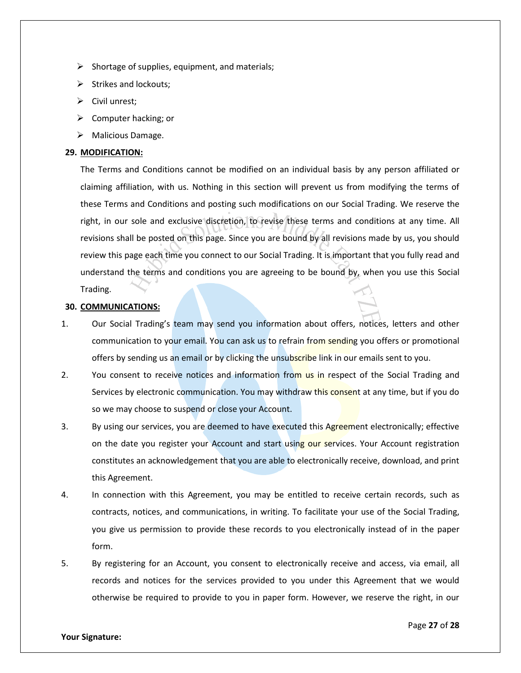- $\triangleright$  Shortage of supplies, equipment, and materials;
- $\triangleright$  Strikes and lockouts;
- $\triangleright$  Civil unrest;
- $\triangleright$  Computer hacking; or
- > Malicious Damage.

# **29. MODIFICATION:**

The Terms and Conditions cannot be modified on an individual basis by any person affiliated or claiming affiliation, with us. Nothing in this section will prevent us from modifying the terms of these Terms and Conditions and posting such modifications on our Social Trading. We reserve the right, in our sole and exclusive discretion, to revise these terms and conditions at any time. All revisions shall be posted on this page. Since you are bound by all revisions made by us, you should review this page each time you connect to our Social Trading. It is important that you fully read and understand the terms and conditions you are agreeing to be bound by, when you use this Social Trading.

# **30. COMMUNICATIONS:**

- 1. Our Social Trading's team may send you information about offers, notices, letters and other communication to your email. You can ask us to refrain from sending you offers or promotional offers by sending us an email or by clicking the unsubscribe link in our emails sent to you.
- 2. You consent to receive notices and information from us in respect of the Social Trading and Services by electronic communication. You may withdraw this consent at any time, but if you do so we may choose to suspend or close your Account.
- 3. By using our services, you are deemed to have executed this Agreement electronically; effective on the date you register your Account and start using our services. Your Account registration constitutes an acknowledgement that you are able to electronically receive, download, and print this Agreement.
- 4. In connection with this Agreement, you may be entitled to receive certain records, such as contracts, notices, and communications, in writing. To facilitate your use of the Social Trading, you give us permission to provide these records to you electronically instead of in the paper form.
- 5. By registering for an Account, you consent to electronically receive and access, via email, all records and notices for the services provided to you under this Agreement that we would otherwise be required to provide to you in paper form. However, we reserve the right, in our